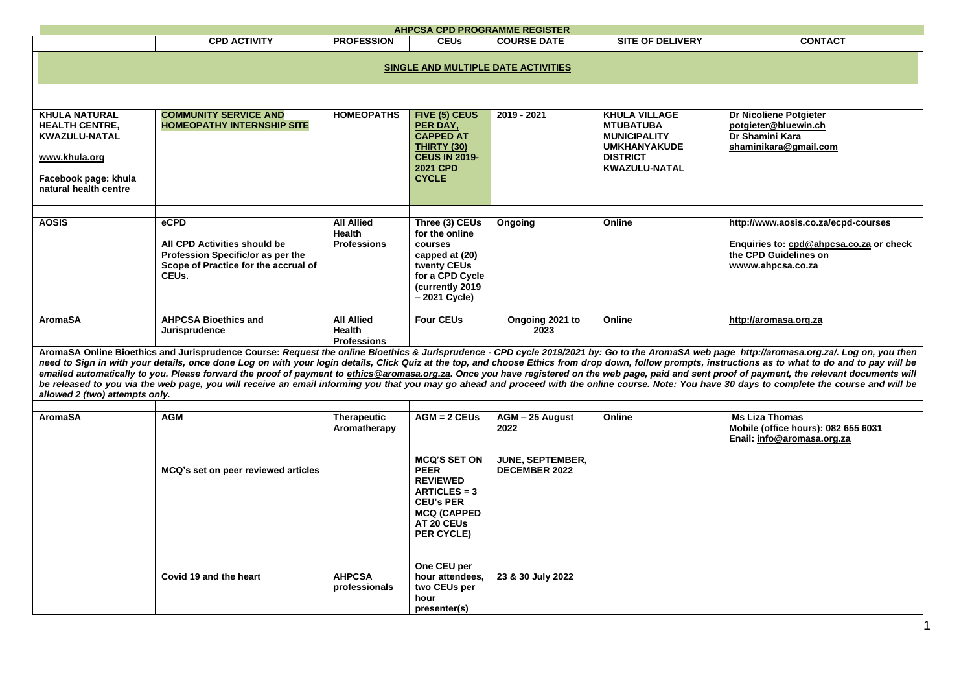| <b>AHPCSA CPD PROGRAMME REGISTER</b>                                                                                                                                                                                                                                                                                                                                                                                                                                                                                                                                                                                                                                                                                                                                                                                                                                                                                                                                                                                                                                |                                                                                                                            |                                                          |                                                                                                                                                                 |                                                                     |                                                                                                                                   |                                                                                                                              |  |  |  |
|---------------------------------------------------------------------------------------------------------------------------------------------------------------------------------------------------------------------------------------------------------------------------------------------------------------------------------------------------------------------------------------------------------------------------------------------------------------------------------------------------------------------------------------------------------------------------------------------------------------------------------------------------------------------------------------------------------------------------------------------------------------------------------------------------------------------------------------------------------------------------------------------------------------------------------------------------------------------------------------------------------------------------------------------------------------------|----------------------------------------------------------------------------------------------------------------------------|----------------------------------------------------------|-----------------------------------------------------------------------------------------------------------------------------------------------------------------|---------------------------------------------------------------------|-----------------------------------------------------------------------------------------------------------------------------------|------------------------------------------------------------------------------------------------------------------------------|--|--|--|
|                                                                                                                                                                                                                                                                                                                                                                                                                                                                                                                                                                                                                                                                                                                                                                                                                                                                                                                                                                                                                                                                     | <b>CPD ACTIVITY</b>                                                                                                        | <b>PROFESSION</b>                                        | <b>CEUs</b>                                                                                                                                                     | <b>COURSE DATE</b>                                                  | <b>SITE OF DELIVERY</b>                                                                                                           | <b>CONTACT</b>                                                                                                               |  |  |  |
| SINGLE AND MULTIPLE DATE ACTIVITIES                                                                                                                                                                                                                                                                                                                                                                                                                                                                                                                                                                                                                                                                                                                                                                                                                                                                                                                                                                                                                                 |                                                                                                                            |                                                          |                                                                                                                                                                 |                                                                     |                                                                                                                                   |                                                                                                                              |  |  |  |
| <b>KHULA NATURAL</b><br><b>HEALTH CENTRE,</b><br><b>KWAZULU-NATAL</b><br>www.khula.org<br>Facebook page: khula<br>natural health centre                                                                                                                                                                                                                                                                                                                                                                                                                                                                                                                                                                                                                                                                                                                                                                                                                                                                                                                             | <b>COMMUNITY SERVICE AND</b><br><b>HOMEOPATHY INTERNSHIP SITE</b>                                                          | <b>HOMEOPATHS</b>                                        | FIVE (5) CEUS<br>PER DAY,<br><b>CAPPED AT</b><br>THIRTY (30)<br><b>CEUS IN 2019-</b><br><b>2021 CPD</b><br><b>CYCLE</b>                                         | 2019 - 2021                                                         | <b>KHULA VILLAGE</b><br><b>MTUBATUBA</b><br><b>MUNICIPALITY</b><br><b>UMKHANYAKUDE</b><br><b>DISTRICT</b><br><b>KWAZULU-NATAL</b> | Dr Nicoliene Potgieter<br>potgieter@bluewin.ch<br>Dr Shamini Kara<br>shaminikara@gmail.com                                   |  |  |  |
| <b>AOSIS</b>                                                                                                                                                                                                                                                                                                                                                                                                                                                                                                                                                                                                                                                                                                                                                                                                                                                                                                                                                                                                                                                        | eCPD<br>All CPD Activities should be<br>Profession Specific/or as per the<br>Scope of Practice for the accrual of<br>CEUs. | <b>All Allied</b><br><b>Health</b><br><b>Professions</b> | Three (3) CEUs<br>for the online<br>courses<br>capped at (20)<br>twenty CEUs<br>for a CPD Cycle<br>(currently 2019<br>- 2021 Cycle)                             | Ongoing                                                             | Online                                                                                                                            | http://www.aosis.co.za/ecpd-courses<br>Enquiries to: cpd@ahpcsa.co.za or check<br>the CPD Guidelines on<br>wwww.ahpcsa.co.za |  |  |  |
| <b>All Allied</b><br><b>AromaSA</b><br><b>AHPCSA Bioethics and</b><br><b>Four CEUs</b><br>Online<br>Ongoing 2021 to<br>http://aromasa.org.za<br><b>Health</b><br>Jurisprudence<br>2023<br><b>Professions</b><br>AromaSA Online Bioethics and Jurisprudence Course: Request the online Bioethics & Jurisprudence - CPD cycle 2019/2021 by: Go to the AromaSA web page http://aromasa.org.za/. Log on, you then<br>need to Sign in with your details, once done Log on with your login details, Click Quiz at the top, and choose Ethics from drop down, follow prompts, instructions as to what to do and to pay will be<br>emailed automatically to you. Please forward the proof of payment to ethics @aromasa.org.za. Once you have registered on the web page, paid and sent proof of payment, the relevant documents will<br>be released to you via the web page, you will receive an email informing you that you may go ahead and proceed with the online course. Note: You have 30 days to complete the course and will be<br>allowed 2 (two) attempts only. |                                                                                                                            |                                                          |                                                                                                                                                                 |                                                                     |                                                                                                                                   |                                                                                                                              |  |  |  |
| <b>AromaSA</b>                                                                                                                                                                                                                                                                                                                                                                                                                                                                                                                                                                                                                                                                                                                                                                                                                                                                                                                                                                                                                                                      | <b>AGM</b><br>MCQ's set on peer reviewed articles                                                                          | <b>Therapeutic</b><br>Aromatherapy                       | $AGM = 2$ CEUs<br><b>MCQ'S SET ON</b><br><b>PEER</b><br><b>REVIEWED</b><br>$ARTICLES = 3$<br><b>CEU's PER</b><br><b>MCQ (CAPPED</b><br>AT 20 CEUs<br>PER CYCLE) | AGM - 25 August<br>2022<br>JUNE, SEPTEMBER,<br><b>DECEMBER 2022</b> | Online                                                                                                                            | <b>Ms Liza Thomas</b><br>Mobile (office hours): 082 655 6031<br>Enail: info@aromasa.org.za                                   |  |  |  |
|                                                                                                                                                                                                                                                                                                                                                                                                                                                                                                                                                                                                                                                                                                                                                                                                                                                                                                                                                                                                                                                                     | Covid 19 and the heart                                                                                                     | <b>AHPCSA</b><br>professionals                           | One CEU per<br>hour attendees,<br>two CEUs per<br>hour<br>presenter(s)                                                                                          | 23 & 30 July 2022                                                   |                                                                                                                                   |                                                                                                                              |  |  |  |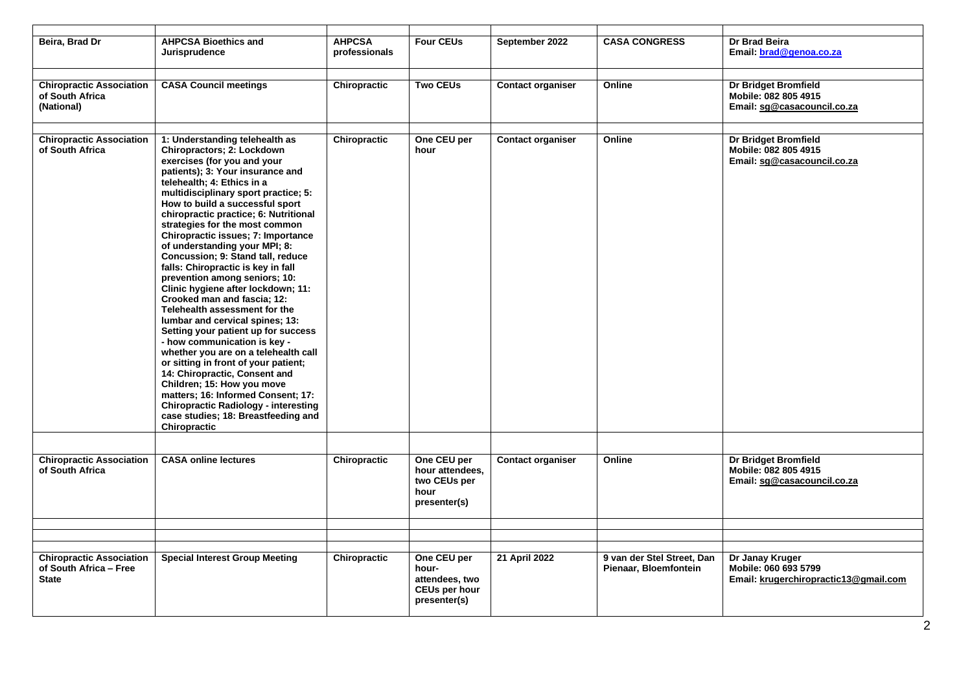| Beira, Brad Dr                                                            | <b>AHPCSA Bioethics and</b><br>Jurisprudence                                                                                                                                                                                                                                                                                                                                                                                                                                                                                                                                                                                                                                                                                                                                                                                                                                                                                                                                                                      | <b>AHPCSA</b><br>professionals | <b>Four CEUs</b>                                                        | September 2022           | <b>CASA CONGRESS</b>                                | Dr Brad Beira<br>Email: brad@genoa.co.za                                           |
|---------------------------------------------------------------------------|-------------------------------------------------------------------------------------------------------------------------------------------------------------------------------------------------------------------------------------------------------------------------------------------------------------------------------------------------------------------------------------------------------------------------------------------------------------------------------------------------------------------------------------------------------------------------------------------------------------------------------------------------------------------------------------------------------------------------------------------------------------------------------------------------------------------------------------------------------------------------------------------------------------------------------------------------------------------------------------------------------------------|--------------------------------|-------------------------------------------------------------------------|--------------------------|-----------------------------------------------------|------------------------------------------------------------------------------------|
|                                                                           |                                                                                                                                                                                                                                                                                                                                                                                                                                                                                                                                                                                                                                                                                                                                                                                                                                                                                                                                                                                                                   |                                |                                                                         |                          |                                                     |                                                                                    |
| <b>Chiropractic Association</b><br>of South Africa<br>(National)          | <b>CASA Council meetings</b>                                                                                                                                                                                                                                                                                                                                                                                                                                                                                                                                                                                                                                                                                                                                                                                                                                                                                                                                                                                      | Chiropractic                   | <b>Two CEUs</b>                                                         | <b>Contact organiser</b> | Online                                              | Dr Bridget Bromfield<br>Mobile: 082 805 4915<br>Email: sg@casacouncil.co.za        |
|                                                                           |                                                                                                                                                                                                                                                                                                                                                                                                                                                                                                                                                                                                                                                                                                                                                                                                                                                                                                                                                                                                                   |                                |                                                                         |                          |                                                     |                                                                                    |
| <b>Chiropractic Association</b><br>of South Africa                        | 1: Understanding telehealth as<br>Chiropractors; 2: Lockdown<br>exercises (for you and your<br>patients); 3: Your insurance and<br>telehealth; 4: Ethics in a<br>multidisciplinary sport practice; 5:<br>How to build a successful sport<br>chiropractic practice; 6: Nutritional<br>strategies for the most common<br>Chiropractic issues; 7: Importance<br>of understanding your MPI; 8:<br>Concussion; 9: Stand tall, reduce<br>falls: Chiropractic is key in fall<br>prevention among seniors; 10:<br>Clinic hygiene after lockdown; 11:<br>Crooked man and fascia; 12:<br>Telehealth assessment for the<br>lumbar and cervical spines; 13:<br>Setting your patient up for success<br>- how communication is key -<br>whether you are on a telehealth call<br>or sitting in front of your patient;<br>14: Chiropractic, Consent and<br>Children; 15: How you move<br>matters; 16: Informed Consent; 17:<br><b>Chiropractic Radiology - interesting</b><br>case studies; 18: Breastfeeding and<br>Chiropractic | Chiropractic                   | One CEU per<br>hour                                                     | <b>Contact organiser</b> | Online                                              | Dr Bridget Bromfield<br>Mobile: 082 805 4915<br>Email: sq@casacouncil.co.za        |
|                                                                           |                                                                                                                                                                                                                                                                                                                                                                                                                                                                                                                                                                                                                                                                                                                                                                                                                                                                                                                                                                                                                   |                                |                                                                         |                          |                                                     |                                                                                    |
| <b>Chiropractic Association</b><br>of South Africa                        | <b>CASA online lectures</b>                                                                                                                                                                                                                                                                                                                                                                                                                                                                                                                                                                                                                                                                                                                                                                                                                                                                                                                                                                                       | Chiropractic                   | One CEU per<br>hour attendees,<br>two CEUs per<br>hour<br>presenter(s)  | <b>Contact organiser</b> | Online                                              | <b>Dr Bridget Bromfield</b><br>Mobile: 082 805 4915<br>Email: sg@casacouncil.co.za |
|                                                                           |                                                                                                                                                                                                                                                                                                                                                                                                                                                                                                                                                                                                                                                                                                                                                                                                                                                                                                                                                                                                                   |                                |                                                                         |                          |                                                     |                                                                                    |
|                                                                           |                                                                                                                                                                                                                                                                                                                                                                                                                                                                                                                                                                                                                                                                                                                                                                                                                                                                                                                                                                                                                   |                                |                                                                         |                          |                                                     |                                                                                    |
|                                                                           |                                                                                                                                                                                                                                                                                                                                                                                                                                                                                                                                                                                                                                                                                                                                                                                                                                                                                                                                                                                                                   |                                |                                                                         |                          |                                                     |                                                                                    |
| <b>Chiropractic Association</b><br>of South Africa - Free<br><b>State</b> | <b>Special Interest Group Meeting</b>                                                                                                                                                                                                                                                                                                                                                                                                                                                                                                                                                                                                                                                                                                                                                                                                                                                                                                                                                                             | Chiropractic                   | One CEU per<br>hour-<br>attendees, two<br>CEUs per hour<br>presenter(s) | 21 April 2022            | 9 van der Stel Street, Dan<br>Pienaar, Bloemfontein | Dr Janay Kruger<br>Mobile: 060 693 5799<br>Email: krugerchiropractic13@gmail.com   |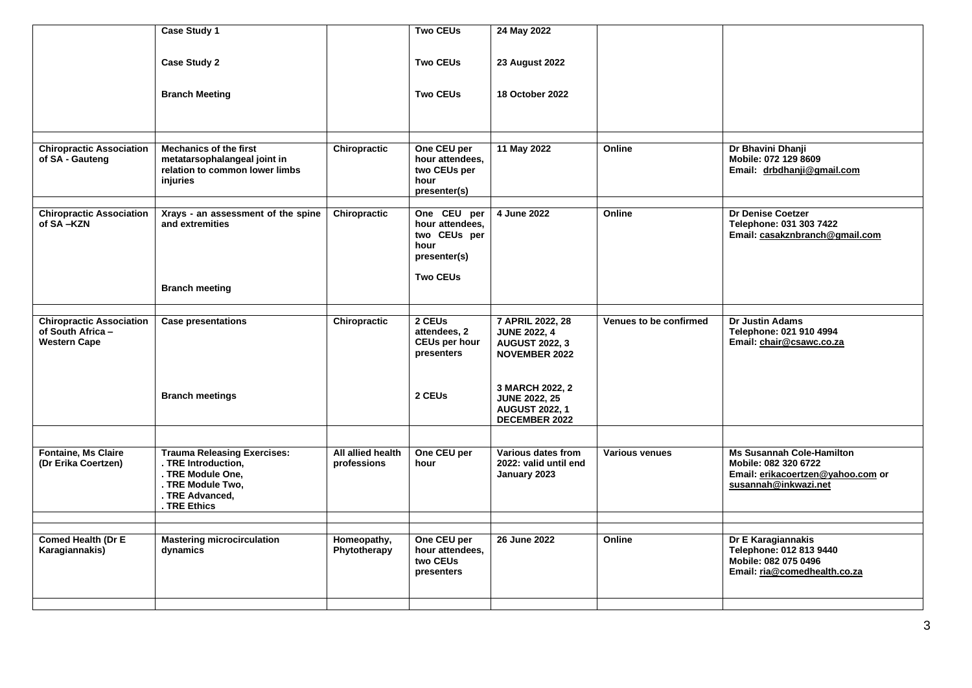|                                                                            | Case Study 1                                                                                                |                                  | <b>Two CEUs</b>                                                        | 24 May 2022                                                                              |                               |                                                                                                                       |
|----------------------------------------------------------------------------|-------------------------------------------------------------------------------------------------------------|----------------------------------|------------------------------------------------------------------------|------------------------------------------------------------------------------------------|-------------------------------|-----------------------------------------------------------------------------------------------------------------------|
|                                                                            | <b>Case Study 2</b>                                                                                         |                                  | <b>Two CEUs</b>                                                        | <b>23 August 2022</b>                                                                    |                               |                                                                                                                       |
|                                                                            | <b>Branch Meeting</b>                                                                                       |                                  | <b>Two CEUs</b>                                                        | <b>18 October 2022</b>                                                                   |                               |                                                                                                                       |
|                                                                            |                                                                                                             |                                  |                                                                        |                                                                                          |                               |                                                                                                                       |
| <b>Chiropractic Association</b><br>of SA - Gauteng                         | <b>Mechanics of the first</b><br>metatarsophalangeal joint in<br>relation to common lower limbs<br>injuries | Chiropractic                     | One CEU per<br>hour attendees,<br>two CEUs per<br>hour<br>presenter(s) | 11 May 2022                                                                              | Online                        | Dr Bhavini Dhanji<br>Mobile: 072 129 8609<br>Email: drbdhanji@gmail.com                                               |
| <b>Chiropractic Association</b><br>of SA-KZN                               | Xrays - an assessment of the spine<br>and extremities                                                       | Chiropractic                     | One CEU per<br>hour attendees.<br>two CEUs per<br>hour<br>presenter(s) | 4 June 2022                                                                              | Online                        | Dr Denise Coetzer<br>Telephone: 031 303 7422<br>Email: casakznbranch@gmail.com                                        |
|                                                                            | <b>Branch meeting</b>                                                                                       |                                  | <b>Two CEUs</b>                                                        |                                                                                          |                               |                                                                                                                       |
| <b>Chiropractic Association</b><br>of South Africa-<br><b>Western Cape</b> | <b>Case presentations</b>                                                                                   | Chiropractic                     | 2 CEUs<br>attendees, 2<br><b>CEUs per hour</b><br>presenters           | 7 APRIL 2022, 28<br><b>JUNE 2022, 4</b><br><b>AUGUST 2022, 3</b><br><b>NOVEMBER 2022</b> | <b>Venues to be confirmed</b> | <b>Dr Justin Adams</b><br>Telephone: 021 910 4994<br>Email: chair@csawc.co.za                                         |
|                                                                            | <b>Branch meetings</b>                                                                                      |                                  | 2 CEUs                                                                 | 3 MARCH 2022, 2<br><b>JUNE 2022, 25</b><br><b>AUGUST 2022, 1</b><br><b>DECEMBER 2022</b> |                               |                                                                                                                       |
|                                                                            |                                                                                                             |                                  |                                                                        |                                                                                          |                               |                                                                                                                       |
| <b>Fontaine, Ms Claire</b><br>(Dr Erika Coertzen)                          | <b>Trauma Releasing Exercises:</b><br>. TRE Introduction,<br>. TRE Module One.<br>. TRE Module Two,         | All allied health<br>professions | One CEU per<br>hour                                                    | Various dates from<br>2022: valid until end<br>January 2023                              | Various venues                | <b>Ms Susannah Cole-Hamilton</b><br>Mobile: 082 320 6722<br>Email: erikacoertzen@yahoo.com or<br>susannah@inkwazi.net |
|                                                                            | . TRE Advanced,<br>TRE Ethics                                                                               |                                  |                                                                        |                                                                                          |                               |                                                                                                                       |
|                                                                            |                                                                                                             |                                  |                                                                        |                                                                                          |                               |                                                                                                                       |
| <b>Comed Health (Dr E</b><br>Karagiannakis)                                | <b>Mastering microcirculation</b><br>dynamics                                                               | Homeopathy,<br>Phytotherapy      | One CEU per<br>hour attendees,<br>two CEUs<br>presenters               | 26 June 2022                                                                             | Online                        | Dr E Karagiannakis<br>Telephone: 012 813 9440<br>Mobile: 082 075 0496<br>Email: ria@comedhealth.co.za                 |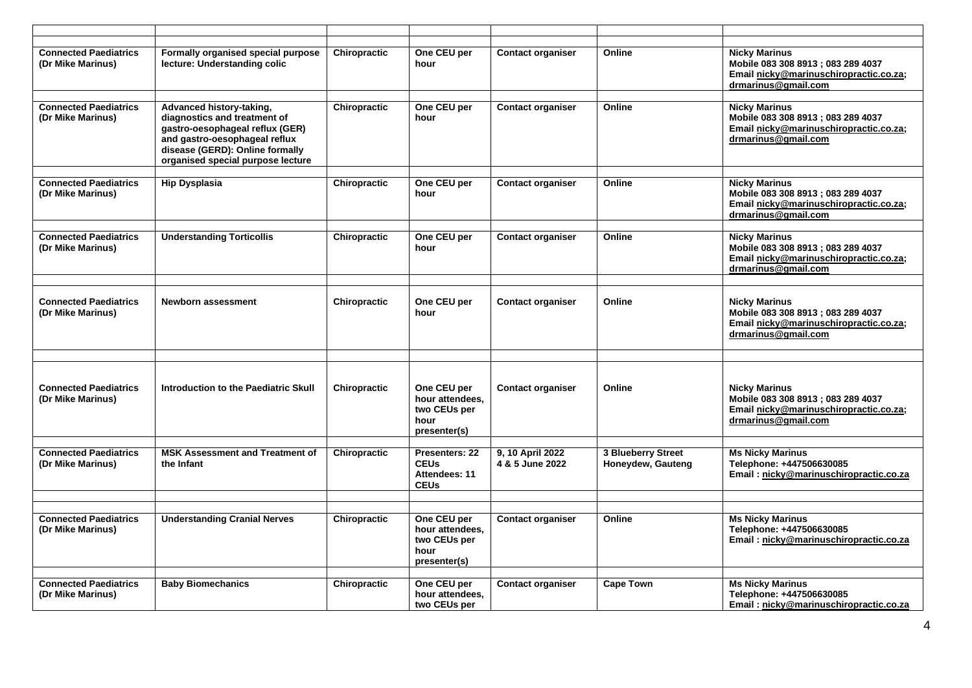| <b>Connected Paediatrics</b><br>(Dr Mike Marinus) | Formally organised special purpose<br>lecture: Understanding colic                                                                                                                                   | Chiropractic | One CEU per<br>hour                                                    | <b>Contact organiser</b>            | Online                                  | <b>Nicky Marinus</b><br>Mobile 083 308 8913 ; 083 289 4037<br>Email nicky@marinuschiropractic.co.za;<br>drmarinus@gmail.com |
|---------------------------------------------------|------------------------------------------------------------------------------------------------------------------------------------------------------------------------------------------------------|--------------|------------------------------------------------------------------------|-------------------------------------|-----------------------------------------|-----------------------------------------------------------------------------------------------------------------------------|
|                                                   |                                                                                                                                                                                                      |              |                                                                        |                                     |                                         |                                                                                                                             |
| <b>Connected Paediatrics</b><br>(Dr Mike Marinus) | Advanced history-taking,<br>diagnostics and treatment of<br>gastro-oesophageal reflux (GER)<br>and gastro-oesophageal reflux<br>disease (GERD): Online formally<br>organised special purpose lecture | Chiropractic | One CEU per<br>hour                                                    | <b>Contact organiser</b>            | Online                                  | <b>Nicky Marinus</b><br>Mobile 083 308 8913; 083 289 4037<br>Email nicky@marinuschiropractic.co.za;<br>drmarinus@gmail.com  |
|                                                   |                                                                                                                                                                                                      |              |                                                                        |                                     |                                         |                                                                                                                             |
| <b>Connected Paediatrics</b><br>(Dr Mike Marinus) | <b>Hip Dysplasia</b>                                                                                                                                                                                 | Chiropractic | One CEU per<br>hour                                                    | <b>Contact organiser</b>            | Online                                  | <b>Nicky Marinus</b><br>Mobile 083 308 8913; 083 289 4037<br>Email nicky@marinuschiropractic.co.za;<br>drmarinus@gmail.com  |
| <b>Connected Paediatrics</b><br>(Dr Mike Marinus) | <b>Understanding Torticollis</b>                                                                                                                                                                     | Chiropractic | One CEU per<br>hour                                                    | <b>Contact organiser</b>            | Online                                  | <b>Nicky Marinus</b><br>Mobile 083 308 8913; 083 289 4037<br>Email nicky@marinuschiropractic.co.za;<br>drmarinus@gmail.com  |
|                                                   |                                                                                                                                                                                                      |              |                                                                        |                                     |                                         |                                                                                                                             |
| <b>Connected Paediatrics</b><br>(Dr Mike Marinus) | <b>Newborn assessment</b>                                                                                                                                                                            | Chiropractic | One CEU per<br>hour                                                    | <b>Contact organiser</b>            | Online                                  | <b>Nicky Marinus</b><br>Mobile 083 308 8913; 083 289 4037<br>Email nicky@marinuschiropractic.co.za;<br>drmarinus@gmail.com  |
|                                                   |                                                                                                                                                                                                      |              |                                                                        |                                     |                                         |                                                                                                                             |
| <b>Connected Paediatrics</b><br>(Dr Mike Marinus) | Introduction to the Paediatric Skull                                                                                                                                                                 | Chiropractic | One CEU per<br>hour attendees.<br>two CEUs per<br>hour<br>presenter(s) | <b>Contact organiser</b>            | Online                                  | <b>Nicky Marinus</b><br>Mobile 083 308 8913; 083 289 4037<br>Email nicky@marinuschiropractic.co.za;<br>drmarinus@gmail.com  |
|                                                   |                                                                                                                                                                                                      |              |                                                                        |                                     |                                         |                                                                                                                             |
| <b>Connected Paediatrics</b><br>(Dr Mike Marinus) | <b>MSK Assessment and Treatment of</b><br>the Infant                                                                                                                                                 | Chiropractic | Presenters: 22<br><b>CEUs</b><br>Attendees: 11<br><b>CEUs</b>          | 9. 10 April 2022<br>4 & 5 June 2022 | 3 Blueberry Street<br>Honeydew, Gauteng | <b>Ms Nicky Marinus</b><br>Telephone: +447506630085<br>Email: nicky@marinuschiropractic.co.za                               |
|                                                   |                                                                                                                                                                                                      |              |                                                                        |                                     |                                         |                                                                                                                             |
| <b>Connected Paediatrics</b><br>(Dr Mike Marinus) | <b>Understanding Cranial Nerves</b>                                                                                                                                                                  | Chiropractic | One CEU per<br>hour attendees.<br>two CEUs per<br>hour<br>presenter(s) | <b>Contact organiser</b>            | Online                                  | <b>Ms Nicky Marinus</b><br>Telephone: +447506630085<br>Email: nicky@marinuschiropractic.co.za                               |
|                                                   |                                                                                                                                                                                                      |              |                                                                        |                                     |                                         |                                                                                                                             |
| <b>Connected Paediatrics</b><br>(Dr Mike Marinus) | <b>Baby Biomechanics</b>                                                                                                                                                                             | Chiropractic | One CEU per<br>hour attendees,<br>two CEUs per                         | <b>Contact organiser</b>            | <b>Cape Town</b>                        | <b>Ms Nicky Marinus</b><br>Telephone: +447506630085<br>Email: nicky@marinuschiropractic.co.za                               |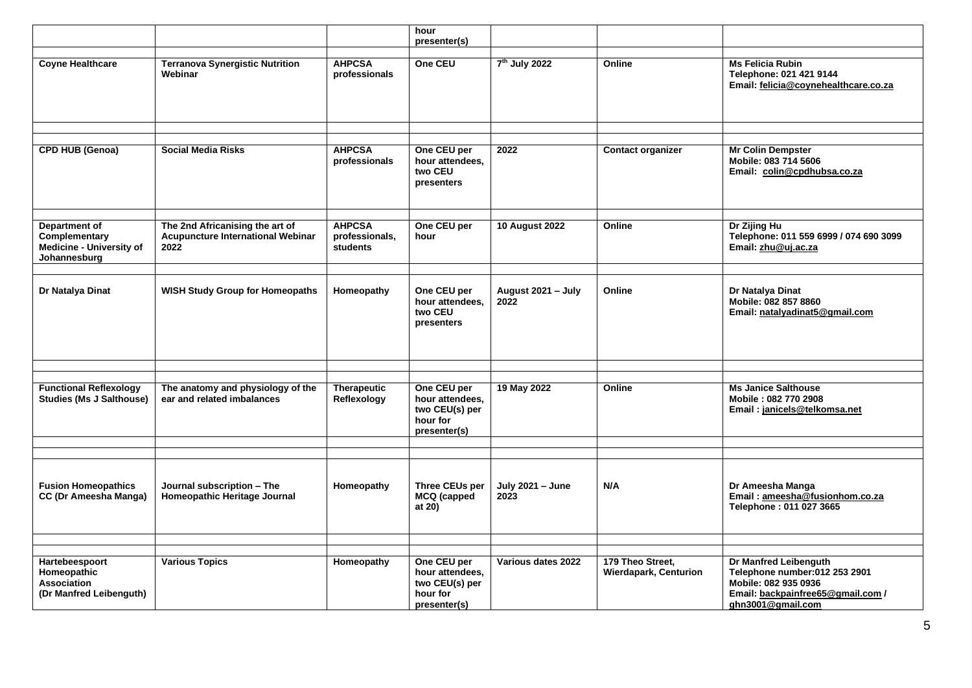|                                                                                   |                                                                                     |                                                    | hour                                                                         |                            |                                                  |                                                                                                                                          |
|-----------------------------------------------------------------------------------|-------------------------------------------------------------------------------------|----------------------------------------------------|------------------------------------------------------------------------------|----------------------------|--------------------------------------------------|------------------------------------------------------------------------------------------------------------------------------------------|
|                                                                                   |                                                                                     |                                                    | presenter(s)                                                                 |                            |                                                  |                                                                                                                                          |
| <b>Coyne Healthcare</b>                                                           | <b>Terranova Synergistic Nutrition</b><br>Webinar                                   | <b>AHPCSA</b><br>professionals                     | One CEU                                                                      | 7 <sup>th</sup> July 2022  | Online                                           | <b>Ms Felicia Rubin</b><br>Telephone: 021 421 9144<br>Email: felicia@coynehealthcare.co.za                                               |
|                                                                                   |                                                                                     |                                                    |                                                                              |                            |                                                  |                                                                                                                                          |
| <b>CPD HUB (Genoa)</b>                                                            | <b>Social Media Risks</b>                                                           | <b>AHPCSA</b><br>professionals                     | One CEU per<br>hour attendees,<br>two CEU<br>presenters                      | 2022                       | <b>Contact organizer</b>                         | <b>Mr Colin Dempster</b><br>Mobile: 083 714 5606<br>Email: colin@cpdhubsa.co.za                                                          |
|                                                                                   |                                                                                     |                                                    |                                                                              |                            |                                                  |                                                                                                                                          |
| <b>Department of</b><br>Complementary<br>Medicine - University of<br>Johannesburg | The 2nd Africanising the art of<br><b>Acupuncture International Webinar</b><br>2022 | <b>AHPCSA</b><br>professionals,<br><b>students</b> | One CEU per<br>hour                                                          | <b>10 August 2022</b>      | Online                                           | Dr Zijing Hu<br>Telephone: 011 559 6999 / 074 690 3099<br>Email: zhu@uj.ac.za                                                            |
|                                                                                   |                                                                                     |                                                    |                                                                              |                            |                                                  |                                                                                                                                          |
| Dr Natalya Dinat                                                                  | <b>WISH Study Group for Homeopaths</b>                                              | Homeopathy                                         | One CEU per<br>hour attendees.<br>two CEU<br>presenters                      | August 2021 - July<br>2022 | Online                                           | Dr Natalya Dinat<br>Mobile: 082 857 8860<br>Email: natalyadinat5@gmail.com                                                               |
|                                                                                   |                                                                                     |                                                    |                                                                              |                            |                                                  |                                                                                                                                          |
|                                                                                   |                                                                                     |                                                    |                                                                              |                            |                                                  |                                                                                                                                          |
| <b>Functional Reflexology</b><br><b>Studies (Ms J Salthouse)</b>                  | The anatomy and physiology of the<br>ear and related imbalances                     | <b>Therapeutic</b><br>Reflexology                  | One CEU per<br>hour attendees,<br>two CEU(s) per<br>hour for<br>presenter(s) | 19 May 2022                | Online                                           | <b>Ms Janice Salthouse</b><br>Mobile: 082 770 2908<br>Email: janicels@telkomsa.net                                                       |
|                                                                                   |                                                                                     |                                                    |                                                                              |                            |                                                  |                                                                                                                                          |
| <b>Fusion Homeopathics</b><br>CC (Dr Ameesha Manga)                               | Journal subscription - The<br>Homeopathic Heritage Journal                          | Homeopathy                                         | <b>Three CEUs per</b><br>MCQ (capped<br>at 20)                               | July 2021 - June<br>2023   | N/A                                              | Dr Ameesha Manga<br>Email: ameesha@fusionhom.co.za<br>Telephone: 011 027 3665                                                            |
|                                                                                   |                                                                                     |                                                    |                                                                              |                            |                                                  |                                                                                                                                          |
|                                                                                   |                                                                                     |                                                    |                                                                              | Various dates 2022         |                                                  |                                                                                                                                          |
| Hartebeespoort<br>Homeopathic<br>Association<br>(Dr Manfred Leibenguth)           | <b>Various Topics</b>                                                               | Homeopathy                                         | One CEU per<br>hour attendees,<br>two CEU(s) per<br>hour for<br>presenter(s) |                            | 179 Theo Street,<br><b>Wierdapark, Centurion</b> | Dr Manfred Leibenguth<br>Telephone number:012 253 2901<br>Mobile: 082 935 0936<br>Email: backpainfree65@gmail.com /<br>ghn3001@gmail.com |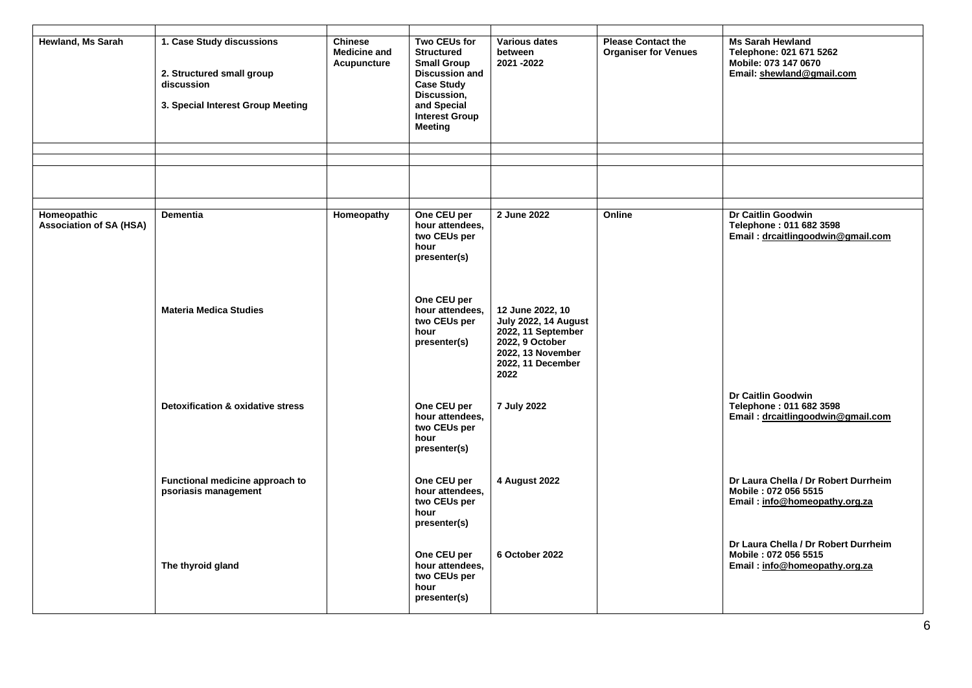| <b>Hewland, Ms Sarah</b>                      | 1. Case Study discussions<br>2. Structured small group<br>discussion<br>3. Special Interest Group Meeting | <b>Chinese</b><br><b>Medicine and</b><br>Acupuncture | <b>Two CEUs for</b><br><b>Structured</b><br><b>Small Group</b><br><b>Discussion and</b><br><b>Case Study</b><br>Discussion,<br>and Special<br><b>Interest Group</b><br><b>Meeting</b> | <b>Various dates</b><br>between<br>2021 - 2022                                                                                      | <b>Please Contact the</b><br><b>Organiser for Venues</b> | <b>Ms Sarah Hewland</b><br>Telephone: 021 671 5262<br>Mobile: 073 147 0670<br>Email: shewland@gmail.com |
|-----------------------------------------------|-----------------------------------------------------------------------------------------------------------|------------------------------------------------------|---------------------------------------------------------------------------------------------------------------------------------------------------------------------------------------|-------------------------------------------------------------------------------------------------------------------------------------|----------------------------------------------------------|---------------------------------------------------------------------------------------------------------|
|                                               |                                                                                                           |                                                      |                                                                                                                                                                                       |                                                                                                                                     |                                                          |                                                                                                         |
|                                               |                                                                                                           |                                                      |                                                                                                                                                                                       |                                                                                                                                     |                                                          |                                                                                                         |
| Homeopathic<br><b>Association of SA (HSA)</b> | <b>Dementia</b>                                                                                           | Homeopathy                                           | One CEU per<br>hour attendees,<br>two CEUs per<br>hour<br>presenter(s)                                                                                                                | 2 June 2022                                                                                                                         | Online                                                   | Dr Caitlin Goodwin<br>Telephone: 011 682 3598<br>Email: drcaitlingoodwin@gmail.com                      |
|                                               | <b>Materia Medica Studies</b>                                                                             |                                                      | One CEU per<br>hour attendees,<br>two CEUs per<br>hour<br>presenter(s)                                                                                                                | 12 June 2022, 10<br>July 2022, 14 August<br>2022, 11 September<br>2022, 9 October<br>2022, 13 November<br>2022, 11 December<br>2022 |                                                          |                                                                                                         |
|                                               | <b>Detoxification &amp; oxidative stress</b>                                                              |                                                      | One CEU per<br>hour attendees,<br>two CEUs per<br>hour<br>presenter(s)                                                                                                                | 7 July 2022                                                                                                                         |                                                          | Dr Caitlin Goodwin<br>Telephone: 011 682 3598<br>Email: drcaitlingoodwin@gmail.com                      |
|                                               | Functional medicine approach to<br>psoriasis management                                                   |                                                      | One CEU per<br>hour attendees,<br>two CEUs per<br>hour<br>presenter(s)                                                                                                                | 4 August 2022                                                                                                                       |                                                          | Dr Laura Chella / Dr Robert Durrheim<br>Mobile: 072 056 5515<br>Email: info@homeopathy.org.za           |
|                                               | The thyroid gland                                                                                         |                                                      | One CEU per<br>hour attendees,<br>two CEUs per<br>hour<br>presenter(s)                                                                                                                | 6 October 2022                                                                                                                      |                                                          | Dr Laura Chella / Dr Robert Durrheim<br>Mobile: 072 056 5515<br>Email: info@homeopathy.org.za           |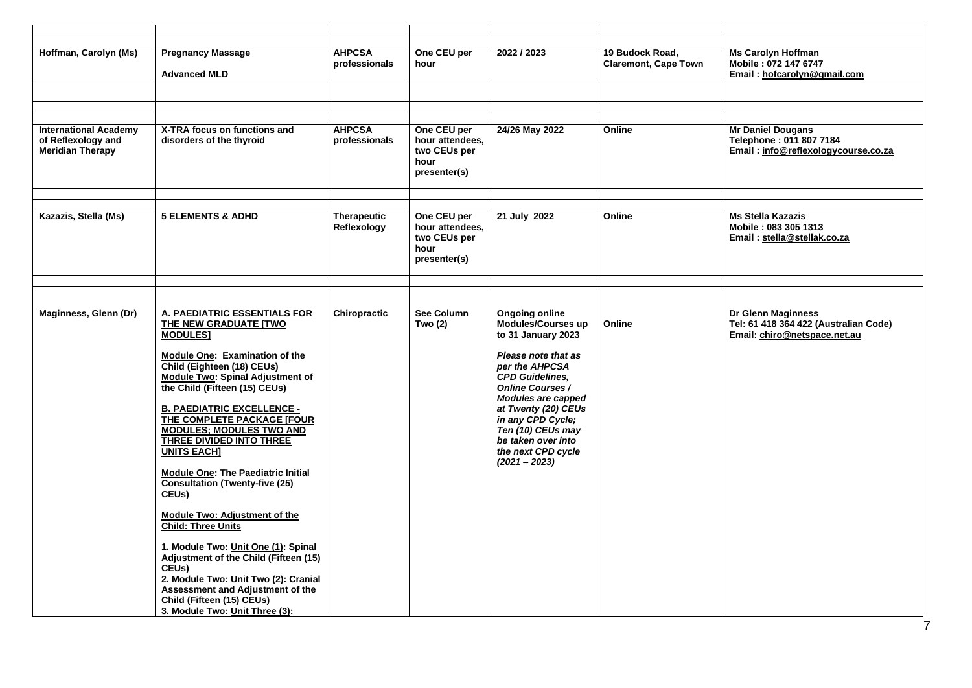| Hoffman, Carolyn (Ms)                                                         | <b>Pregnancy Massage</b><br><b>Advanced MLD</b>                                                                                                                                                                                                                                                                                                                                                                                                                                                                                                                                                                                                                                                                                                                                     | <b>AHPCSA</b><br>professionals    | One CEU per<br>hour                                                    | 2022 / 2023                                                                                                                                                                                                                                                                                                                  | 19 Budock Road,<br><b>Claremont, Cape Town</b> | <b>Ms Carolyn Hoffman</b><br>Mobile: 072 147 6747<br>Email: hofcarolyn@gmail.com            |
|-------------------------------------------------------------------------------|-------------------------------------------------------------------------------------------------------------------------------------------------------------------------------------------------------------------------------------------------------------------------------------------------------------------------------------------------------------------------------------------------------------------------------------------------------------------------------------------------------------------------------------------------------------------------------------------------------------------------------------------------------------------------------------------------------------------------------------------------------------------------------------|-----------------------------------|------------------------------------------------------------------------|------------------------------------------------------------------------------------------------------------------------------------------------------------------------------------------------------------------------------------------------------------------------------------------------------------------------------|------------------------------------------------|---------------------------------------------------------------------------------------------|
|                                                                               |                                                                                                                                                                                                                                                                                                                                                                                                                                                                                                                                                                                                                                                                                                                                                                                     |                                   |                                                                        |                                                                                                                                                                                                                                                                                                                              |                                                |                                                                                             |
|                                                                               |                                                                                                                                                                                                                                                                                                                                                                                                                                                                                                                                                                                                                                                                                                                                                                                     |                                   |                                                                        |                                                                                                                                                                                                                                                                                                                              |                                                |                                                                                             |
|                                                                               |                                                                                                                                                                                                                                                                                                                                                                                                                                                                                                                                                                                                                                                                                                                                                                                     |                                   |                                                                        |                                                                                                                                                                                                                                                                                                                              |                                                |                                                                                             |
| <b>International Academy</b><br>of Reflexology and<br><b>Meridian Therapy</b> | X-TRA focus on functions and<br>disorders of the thyroid                                                                                                                                                                                                                                                                                                                                                                                                                                                                                                                                                                                                                                                                                                                            | <b>AHPCSA</b><br>professionals    | One CEU per<br>hour attendees,<br>two CEUs per<br>hour<br>presenter(s) | 24/26 May 2022                                                                                                                                                                                                                                                                                                               | Online                                         | <b>Mr Daniel Dougans</b><br>Telephone: 011 807 7184<br>Email: info@reflexologycourse.co.za  |
|                                                                               |                                                                                                                                                                                                                                                                                                                                                                                                                                                                                                                                                                                                                                                                                                                                                                                     |                                   |                                                                        |                                                                                                                                                                                                                                                                                                                              |                                                |                                                                                             |
| Kazazis, Stella (Ms)                                                          | <b>5 ELEMENTS &amp; ADHD</b>                                                                                                                                                                                                                                                                                                                                                                                                                                                                                                                                                                                                                                                                                                                                                        | <b>Therapeutic</b><br>Reflexology | One CEU per<br>hour attendees,<br>two CEUs per<br>hour<br>presenter(s) | 21 July 2022                                                                                                                                                                                                                                                                                                                 | Online                                         | <b>Ms Stella Kazazis</b><br>Mobile: 083 305 1313<br>Email: stella@stellak.co.za             |
|                                                                               |                                                                                                                                                                                                                                                                                                                                                                                                                                                                                                                                                                                                                                                                                                                                                                                     |                                   |                                                                        |                                                                                                                                                                                                                                                                                                                              |                                                |                                                                                             |
| Maginness, Glenn (Dr)                                                         | <b>A. PAEDIATRIC ESSENTIALS FOR</b><br>THE NEW GRADUATE ITWO<br><b>MODULES1</b><br>Module One: Examination of the<br>Child (Eighteen (18) CEUs)<br><b>Module Two: Spinal Adjustment of</b><br>the Child (Fifteen (15) CEUs)<br><b>B. PAEDIATRIC EXCELLENCE -</b><br>THE COMPLETE PACKAGE [FOUR<br><b>MODULES; MODULES TWO AND</b><br>THREE DIVIDED INTO THREE<br><b>UNITS EACH]</b><br><b>Module One: The Paediatric Initial</b><br><b>Consultation (Twenty-five (25)</b><br>CEU <sub>s</sub> )<br><b>Module Two: Adjustment of the</b><br><b>Child: Three Units</b><br>1. Module Two: Unit One (1): Spinal<br>Adjustment of the Child (Fifteen (15)<br>CEU <sub>s</sub> )<br>2. Module Two: Unit Two (2): Cranial<br>Assessment and Adjustment of the<br>Child (Fifteen (15) CEUs) | Chiropractic                      | See Column<br>Two (2)                                                  | <b>Ongoing online</b><br><b>Modules/Courses up</b><br>to 31 January 2023<br>Please note that as<br>per the AHPCSA<br><b>CPD Guidelines,</b><br><b>Online Courses /</b><br>Modules are capped<br>at Twenty (20) CEUs<br>in any CPD Cycle;<br>Ten (10) CEUs may<br>be taken over into<br>the next CPD cycle<br>$(2021 - 2023)$ | Online                                         | Dr Glenn Maginness<br>Tel: 61 418 364 422 (Australian Code)<br>Email: chiro@netspace.net.au |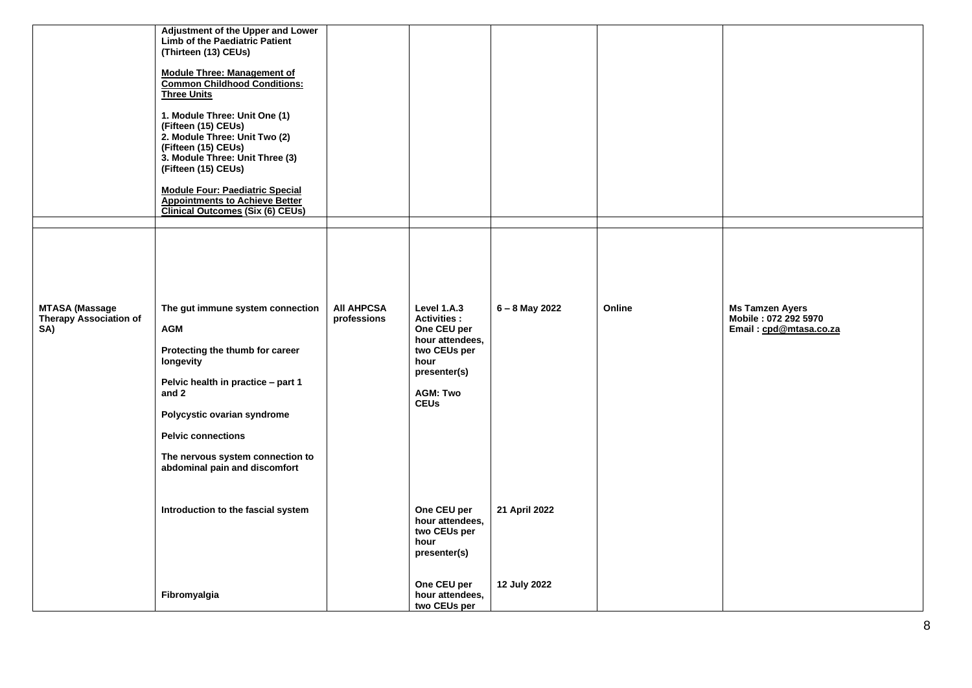| <b>MTASA (Massage</b>                | Adjustment of the Upper and Lower<br><b>Limb of the Paediatric Patient</b><br>(Thirteen (13) CEUs)<br><b>Module Three: Management of</b><br><b>Common Childhood Conditions:</b><br><b>Three Units</b><br>1. Module Three: Unit One (1)<br>(Fifteen (15) CEUs)<br>2. Module Three: Unit Two (2)<br>(Fifteen (15) CEUs)<br>3. Module Three: Unit Three (3)<br>(Fifteen (15) CEUs)<br><b>Module Four: Paediatric Special</b><br><b>Appointments to Achieve Better</b><br><b>Clinical Outcomes (Six (6) CEUs)</b><br>The gut immune system connection | <b>AII AHPCSA</b> | Level 1.A.3                                                                                                                    | 6 - 8 May 2022 | Online | <b>Ms Tamzen Ayers</b>                         |
|--------------------------------------|---------------------------------------------------------------------------------------------------------------------------------------------------------------------------------------------------------------------------------------------------------------------------------------------------------------------------------------------------------------------------------------------------------------------------------------------------------------------------------------------------------------------------------------------------|-------------------|--------------------------------------------------------------------------------------------------------------------------------|----------------|--------|------------------------------------------------|
| <b>Therapy Association of</b><br>SA) | <b>AGM</b><br>Protecting the thumb for career<br>longevity<br>Pelvic health in practice - part 1<br>and 2<br>Polycystic ovarian syndrome<br><b>Pelvic connections</b><br>The nervous system connection to<br>abdominal pain and discomfort                                                                                                                                                                                                                                                                                                        | professions       | <b>Activities:</b><br>One CEU per<br>hour attendees,<br>two CEUs per<br>hour<br>presenter(s)<br><b>AGM: Two</b><br><b>CEUs</b> |                |        | Mobile: 072 292 5970<br>Email: cpd@mtasa.co.za |
|                                      | Introduction to the fascial system                                                                                                                                                                                                                                                                                                                                                                                                                                                                                                                |                   | One CEU per<br>hour attendees,<br>two CEUs per<br>hour<br>presenter(s)                                                         | 21 April 2022  |        |                                                |
|                                      | Fibromyalgia                                                                                                                                                                                                                                                                                                                                                                                                                                                                                                                                      |                   | One CEU per<br>hour attendees,<br>two CEUs per                                                                                 | 12 July 2022   |        |                                                |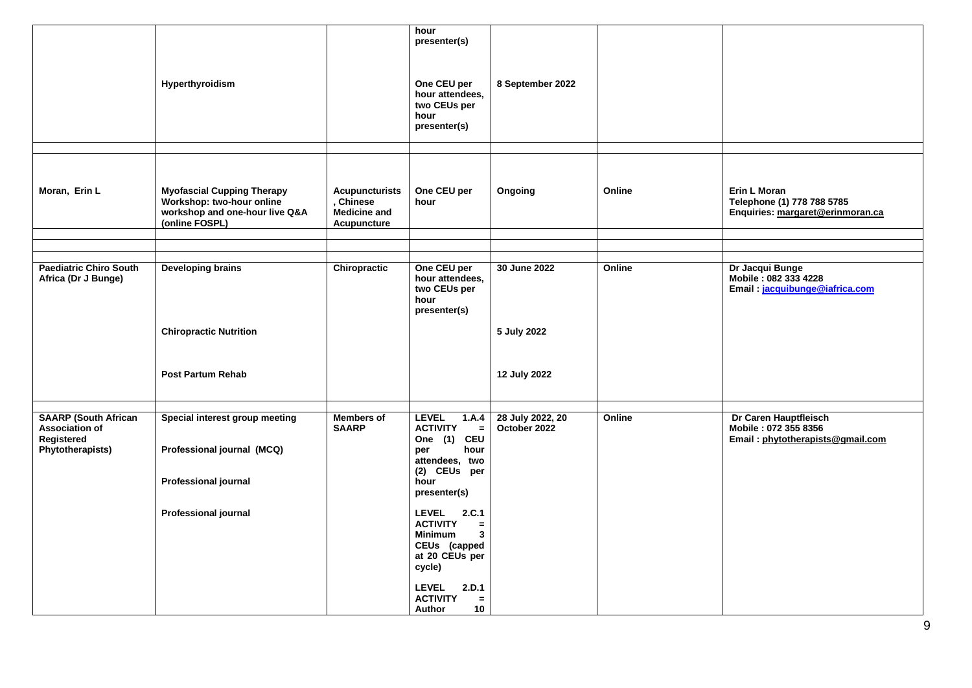|                                                                                        | Hyperthyroidism                                                                                                            |                                                                          | hour<br>presenter(s)<br>One CEU per<br>hour attendees,<br>two CEUs per<br>hour<br>presenter(s)                                                                                                                                                                                                                                                  | 8 September 2022                 |        |                                                                                          |
|----------------------------------------------------------------------------------------|----------------------------------------------------------------------------------------------------------------------------|--------------------------------------------------------------------------|-------------------------------------------------------------------------------------------------------------------------------------------------------------------------------------------------------------------------------------------------------------------------------------------------------------------------------------------------|----------------------------------|--------|------------------------------------------------------------------------------------------|
| Moran, Erin L                                                                          | <b>Myofascial Cupping Therapy</b><br>Workshop: two-hour online<br>workshop and one-hour live Q&A<br>(online FOSPL)         | <b>Acupuncturists</b><br>, Chinese<br><b>Medicine and</b><br>Acupuncture | One CEU per<br>hour                                                                                                                                                                                                                                                                                                                             | Ongoing                          | Online | Erin L Moran<br>Telephone (1) 778 788 5785<br>Enquiries: margaret@erinmoran.ca           |
|                                                                                        |                                                                                                                            |                                                                          |                                                                                                                                                                                                                                                                                                                                                 |                                  |        |                                                                                          |
| <b>Paediatric Chiro South</b><br>Africa (Dr J Bunge)                                   | <b>Developing brains</b><br><b>Chiropractic Nutrition</b>                                                                  | Chiropractic                                                             | One CEU per<br>hour attendees,<br>two CEUs per<br>hour<br>presenter(s)                                                                                                                                                                                                                                                                          | 30 June 2022<br>5 July 2022      | Online | Dr Jacqui Bunge<br>Mobile: 082 333 4228<br>Email: jacquibunge@iafrica.com                |
|                                                                                        | <b>Post Partum Rehab</b>                                                                                                   |                                                                          |                                                                                                                                                                                                                                                                                                                                                 | 12 July 2022                     |        |                                                                                          |
|                                                                                        |                                                                                                                            |                                                                          |                                                                                                                                                                                                                                                                                                                                                 |                                  |        |                                                                                          |
| <b>SAARP (South African</b><br><b>Association of</b><br>Registered<br>Phytotherapists) | Special interest group meeting<br>Professional journal (MCQ)<br><b>Professional journal</b><br><b>Professional journal</b> | <b>Members of</b><br><b>SAARP</b>                                        | <b>LEVEL</b><br>1.A.4<br><b>ACTIVITY</b><br>$\equiv$<br>One (1)<br><b>CEU</b><br>per<br>hour<br>attendees, two<br>(2) CEUs per<br>hour<br>presenter(s)<br><b>LEVEL</b><br>2.C.1<br><b>ACTIVITY</b><br>$=$<br><b>Minimum</b><br>3<br>CEUs (capped<br>at 20 CEUs per<br>cycle)<br><b>LEVEL</b><br>2.D.1<br><b>ACTIVITY</b><br>$=$<br>Author<br>10 | 28 July 2022, 20<br>October 2022 | Online | <b>Dr Caren Hauptfleisch</b><br>Mobile: 072 355 8356<br>Email: phytotherapists@gmail.com |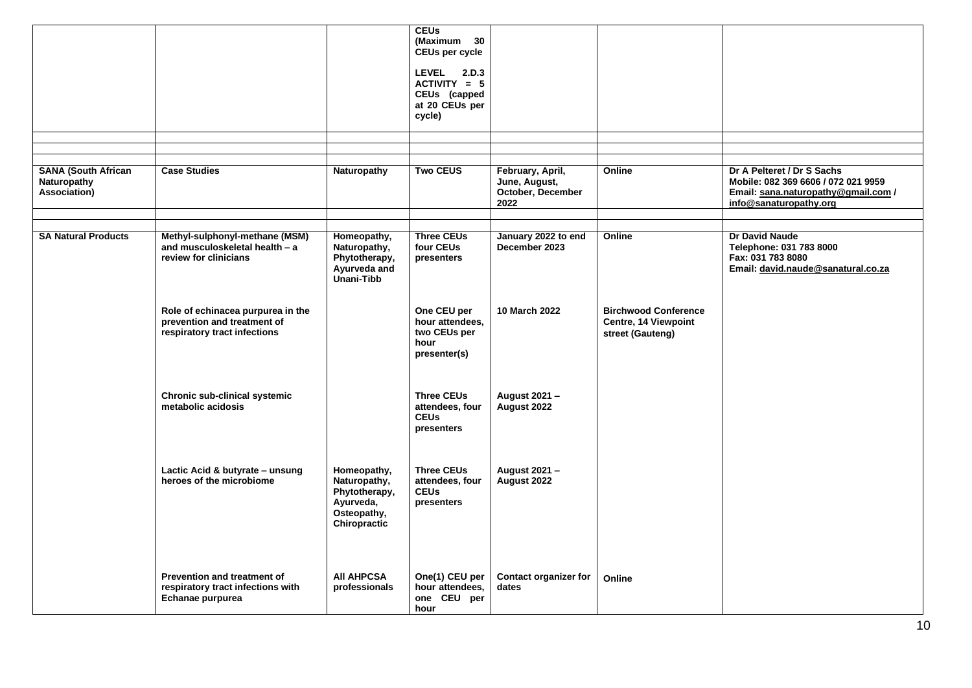|                                                           |                                                                                                  |                                                                                          | <b>CEUs</b><br>(Maximum 30<br>CEUs per cycle<br><b>LEVEL</b><br>2.D.3<br>$ACTIVITY = 5$<br>CEUs (capped<br>at 20 CEUs per<br>cycle) |                                                                |                                                                         |                                                                                                                                    |
|-----------------------------------------------------------|--------------------------------------------------------------------------------------------------|------------------------------------------------------------------------------------------|-------------------------------------------------------------------------------------------------------------------------------------|----------------------------------------------------------------|-------------------------------------------------------------------------|------------------------------------------------------------------------------------------------------------------------------------|
| <b>SANA (South African</b><br>Naturopathy<br>Association) | <b>Case Studies</b>                                                                              | Naturopathy                                                                              | <b>Two CEUS</b>                                                                                                                     | February, April,<br>June, August,<br>October, December<br>2022 | Online                                                                  | Dr A Pelteret / Dr S Sachs<br>Mobile: 082 369 6606 / 072 021 9959<br>Email: sana.naturopathy@gmail.com /<br>info@sanaturopathy.org |
| <b>SA Natural Products</b>                                | Methyl-sulphonyl-methane (MSM)<br>and musculoskeletal health - a<br>review for clinicians        | Homeopathy,<br>Naturopathy,<br>Phytotherapy,<br>Ayurveda and<br>Unani-Tibb               | <b>Three CEUs</b><br>four CEUs<br>presenters                                                                                        | January 2022 to end<br>December 2023                           | Online                                                                  | Dr David Naude<br>Telephone: 031 783 8000<br>Fax: 031 783 8080<br>Email: david.naude@sanatural.co.za                               |
|                                                           | Role of echinacea purpurea in the<br>prevention and treatment of<br>respiratory tract infections |                                                                                          | One CEU per<br>hour attendees,<br>two CEUs per<br>hour<br>presenter(s)                                                              | 10 March 2022                                                  | <b>Birchwood Conference</b><br>Centre, 14 Viewpoint<br>street (Gauteng) |                                                                                                                                    |
|                                                           | Chronic sub-clinical systemic<br>metabolic acidosis                                              |                                                                                          | <b>Three CEUs</b><br>attendees, four<br><b>CEUs</b><br>presenters                                                                   | August 2021 -<br>August 2022                                   |                                                                         |                                                                                                                                    |
|                                                           | Lactic Acid & butyrate - unsung<br>heroes of the microbiome                                      | Homeopathy,<br>Naturopathy,<br>Phytotherapy,<br>Ayurveda,<br>Osteopathy,<br>Chiropractic | <b>Three CEUs</b><br>attendees, four<br><b>CEUs</b><br>presenters                                                                   | August 2021 -<br>August 2022                                   |                                                                         |                                                                                                                                    |
|                                                           | <b>Prevention and treatment of</b><br>respiratory tract infections with<br>Echanae purpurea      | <b>AII AHPCSA</b><br>professionals                                                       | One(1) CEU per<br>hour attendees,<br>one CEU per<br>hour                                                                            | <b>Contact organizer for</b><br>dates                          | Online                                                                  |                                                                                                                                    |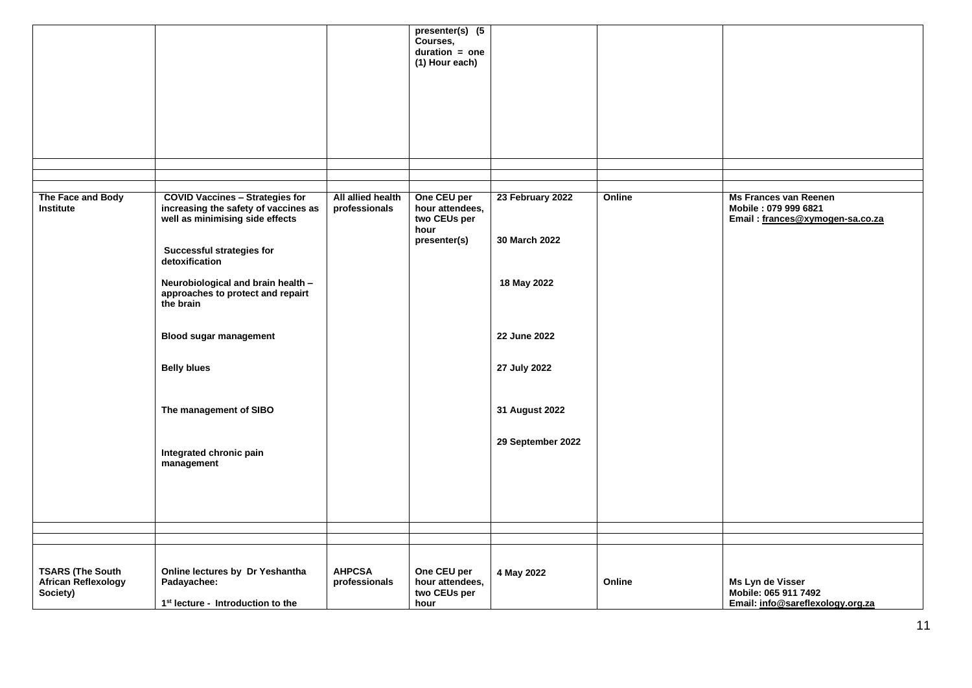|                                                            |                                                                                                                   |                                    | presenter(s) (5                                |                   |        |                                                                                         |
|------------------------------------------------------------|-------------------------------------------------------------------------------------------------------------------|------------------------------------|------------------------------------------------|-------------------|--------|-----------------------------------------------------------------------------------------|
|                                                            |                                                                                                                   |                                    | Courses,<br>$duration = one$                   |                   |        |                                                                                         |
|                                                            |                                                                                                                   |                                    | (1) Hour each)                                 |                   |        |                                                                                         |
|                                                            |                                                                                                                   |                                    |                                                |                   |        |                                                                                         |
|                                                            |                                                                                                                   |                                    |                                                |                   |        |                                                                                         |
|                                                            |                                                                                                                   |                                    |                                                |                   |        |                                                                                         |
|                                                            |                                                                                                                   |                                    |                                                |                   |        |                                                                                         |
|                                                            |                                                                                                                   |                                    |                                                |                   |        |                                                                                         |
|                                                            |                                                                                                                   |                                    |                                                |                   |        |                                                                                         |
|                                                            |                                                                                                                   |                                    |                                                |                   |        |                                                                                         |
| The Face and Body<br>Institute                             | <b>COVID Vaccines - Strategies for</b><br>increasing the safety of vaccines as<br>well as minimising side effects | All allied health<br>professionals | One CEU per<br>hour attendees,<br>two CEUs per | 23 February 2022  | Online | <b>Ms Frances van Reenen</b><br>Mobile: 079 999 6821<br>Email: frances@xymogen-sa.co.za |
|                                                            |                                                                                                                   |                                    | hour<br>presenter(s)                           | 30 March 2022     |        |                                                                                         |
|                                                            | Successful strategies for                                                                                         |                                    |                                                |                   |        |                                                                                         |
|                                                            | detoxification                                                                                                    |                                    |                                                |                   |        |                                                                                         |
|                                                            | Neurobiological and brain health -<br>approaches to protect and repairt<br>the brain                              |                                    |                                                | 18 May 2022       |        |                                                                                         |
|                                                            |                                                                                                                   |                                    |                                                |                   |        |                                                                                         |
|                                                            | <b>Blood sugar management</b>                                                                                     |                                    |                                                | 22 June 2022      |        |                                                                                         |
|                                                            | <b>Belly blues</b>                                                                                                |                                    |                                                | 27 July 2022      |        |                                                                                         |
|                                                            |                                                                                                                   |                                    |                                                |                   |        |                                                                                         |
|                                                            | The management of SIBO                                                                                            |                                    |                                                | 31 August 2022    |        |                                                                                         |
|                                                            |                                                                                                                   |                                    |                                                |                   |        |                                                                                         |
|                                                            | Integrated chronic pain<br>management                                                                             |                                    |                                                | 29 September 2022 |        |                                                                                         |
|                                                            |                                                                                                                   |                                    |                                                |                   |        |                                                                                         |
|                                                            |                                                                                                                   |                                    |                                                |                   |        |                                                                                         |
|                                                            |                                                                                                                   |                                    |                                                |                   |        |                                                                                         |
|                                                            |                                                                                                                   |                                    |                                                |                   |        |                                                                                         |
|                                                            |                                                                                                                   |                                    |                                                |                   |        |                                                                                         |
| <b>TSARS (The South</b><br>African Reflexology<br>Society) | Online lectures by Dr Yeshantha<br>Padayachee:                                                                    | <b>AHPCSA</b><br>professionals     | One CEU per<br>hour attendees,<br>two CEUs per | 4 May 2022        | Online | Ms Lyn de Visser<br>Mobile: 065 911 7492                                                |
|                                                            | 1 <sup>st</sup> lecture - Introduction to the                                                                     |                                    | hour                                           |                   |        | Email: info@sareflexology.org.za                                                        |